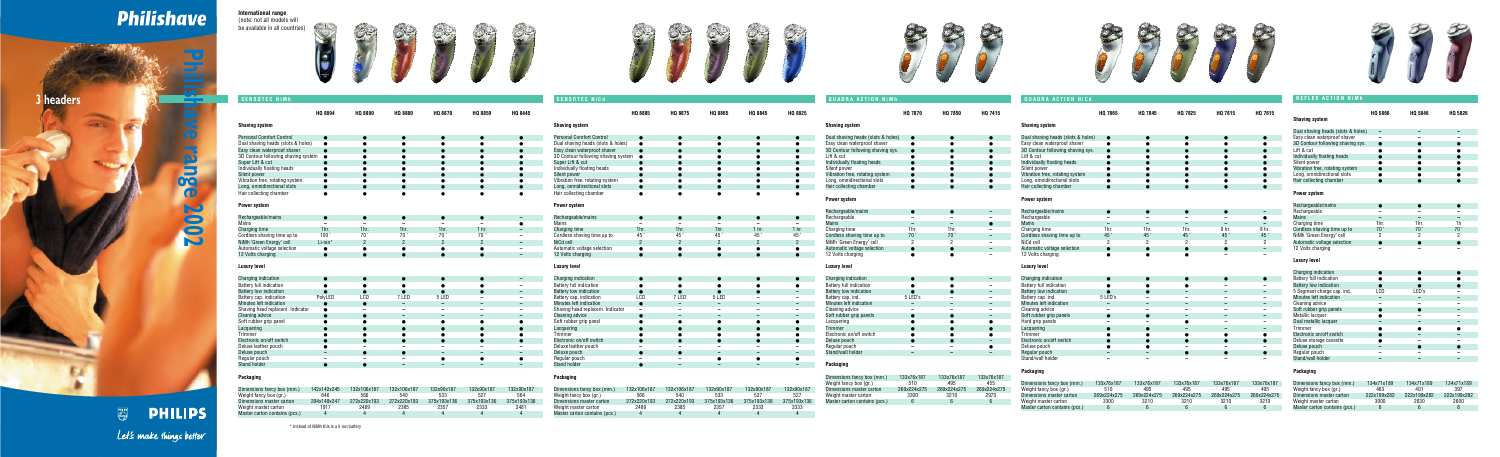**Shaving system** Personal Comfort Control









**Philishave range 2002 A**  $\left( \bullet \right)$ N 8 N

**PHILIPS** 

**PHILIPS** 

Let's make things better.

## **Packaging**

| Dimensions fancy box (mm.)    | 142x142x245 | 132x106x187 | 132x106x187 | 132x90x187  | 132x90x187  | 132x90x187  |
|-------------------------------|-------------|-------------|-------------|-------------|-------------|-------------|
| Weight fancy box (gr.)        | 846         | 566         | 540         | 533         | 527         | 564         |
| Dimensions master carton      | 294x148x247 | 272x220x193 | 272x220x193 | 375x193x136 | 375x193x136 | 375x193x136 |
| Weight master carton          | 1917        | 2489        | 2385        | 2357        | 2333        | 2481        |
| Master carton contains (pcs.) |             |             |             |             |             |             |

\* Instead of NiMh this is a li-ion battery





త్ర





## **Philishave**

**International range**  (note: not all models will be available in all countries)

## **HQ 7865 HQ 7845 HQ 7825 HQ 7815 HQ 7615 Shaving system** Dual shaving heads (slots  $&$  holes)  $\bullet$ Easy clean waterproof shaver ● ● ● ● ● 3D Contour following shaving sys.  $\bullet$ <br>Lift & cut Lift & cut ● ● ● ● ● Individually floating heads Silent nower ● ● ● ● ● ● ● Vibration free, rotating system Long, omnidirectional slots ● ● ● ● ● Hair collecting chamber ● ● ● ● ● ● **Power system Rechargeable/mains** Rechargeable **–** – – – – – – **●** Mains **–––––** Charging time 1hr. 1hr. 1hr. 1hr. 8 hr. 8 hr. Cordless shaving time up to  $\begin{array}{cccc} 45 \leqslant 45 \leqslant 45 \leqslant 45 \leqslant 45 \leqslant 45 \leqslant 45 \leqslant 45 \leqslant 45 \leqslant 45 \leqslant 45 \leqslant 45 \leqslant 45 \leqslant 45 \leqslant 45 \leqslant 45 \leqslant 45 \leqslant 45 \leqslant 45 \leqslant 45 \leqslant 45 \leqslant 45 \leqslant 45 \leqslant 4$ NiCd cell 2 2 2 2 2 **Automatic voltage selection** 12 Volts charging **●** ● ● ● ● ● ● ● ● <del>–</del> – **Luxury level** Charging indication ●●●●● Battery full indication ●●● **– – Battery low indication** Battery cap. ind. 5 LED's **––––** Minutes left indication **–––––** Cleaning advice **–––––** Soft rubber grip panels Hard grip panels **– –** ● **– –** Lacquering ● ● **–––** Trimmer ●●●●● Electronic on/off switch Deluxe pouch ● ● **–––** Regular pouch **– –** ●●● Stand/wall holder **––––– Shaving system** Dual shaving heads (slots & holes) **–––** Easy clean waterproof shaver **–––** 3D Contour following shaving sys.  $\bullet$  $Lift$  &  $cut$ Individually floating heads Silent power Vibration free, rotating system Long, omnidirectional slots ● ● ●<br>Hair collecting chamber ● ● ● Hair collecting chamber ● **Power system** Rechargeable/mains Rechargeable **–––** Mains **–––** Charging time Cordless shaving time up to NiMh 'Green Energy' cell Automatic voltage selection ● 12 Volts charging **––– Luxury level** Charging indication Battery full indication Battery low indication 5 Segment charge cap. ind. Minutes left indication **–––** Cleaning advice **–––** Soft rubber grip panels **Metallic lacquer** Dual metallic lacquer **–––** Trimmer Electronic on/off switch Deluxe storage cassette Deluxe pouch Regular pouch **–––** Stand/wall holder **REFLEX ACTION NiMh**

| <b>SENSOTEC NiMh</b>                              |                          |                          |                          |                          |                          |                                                      | <b>SENSOTEC NiCd</b>                               |                          |                          |                          |                          |                                       | <b>QUADRA ACTION NIMH</b>                    |                          |                          |                                                      | <b>QUADRA ACTION NiCd</b>                    |
|---------------------------------------------------|--------------------------|--------------------------|--------------------------|--------------------------|--------------------------|------------------------------------------------------|----------------------------------------------------|--------------------------|--------------------------|--------------------------|--------------------------|---------------------------------------|----------------------------------------------|--------------------------|--------------------------|------------------------------------------------------|----------------------------------------------|
|                                                   | HQ 8894                  | <b>HQ 8890</b>           | <b>HQ 8880</b>           | <b>HQ 8870</b>           | <b>HQ 8850</b>           | HQ 8445                                              |                                                    | HQ 8885                  | HQ 8875                  | HQ 8865                  | HQ 8845                  | <b>HQ 8825</b>                        |                                              | <b>HQ 7870</b>           | HQ 7850                  | HQ 7415                                              |                                              |
|                                                   |                          |                          |                          |                          |                          |                                                      | <b>Shaving system</b>                              |                          |                          |                          |                          |                                       | <b>Shaving system</b>                        |                          |                          |                                                      | <b>Shaving system</b>                        |
| having system                                     |                          |                          |                          |                          |                          |                                                      |                                                    |                          |                          |                          |                          |                                       |                                              |                          |                          |                                                      |                                              |
| ersonal Comfort Control                           |                          |                          |                          |                          |                          | $\bullet$                                            | <b>Personal Comfort Contro</b>                     |                          |                          |                          |                          |                                       | Dual shaving heads (slots & holes)           |                          |                          |                                                      | Dual shaving heads (slots & hole             |
| ual shaving heads (slots & holes)                 | $\bullet$                |                          |                          |                          |                          |                                                      | Dual shaving heads (slots & holes)                 | $\bullet$                | $\bullet$                |                          |                          |                                       | Easy clean waterproof shaver                 | $\bullet$                |                          |                                                      | Easy clean waterproof shaver                 |
| asy clean waterproof shave                        |                          |                          |                          |                          |                          | $\bullet$                                            | Easy clean waterproof shaver                       |                          | $\bullet$                |                          |                          |                                       | 3D Contour following shaving sys.            |                          | $\bullet$                | $\bullet$                                            | 3D Contour following shaving sy:             |
| D Contour following shaving system $\bullet$      |                          |                          |                          |                          |                          | $\bullet$                                            | 3D Contour following shaving system •              |                          | $\bullet$                |                          |                          |                                       | Lift & cut                                   |                          |                          |                                                      | Lift & cut                                   |
| uper Lift & cut                                   |                          |                          |                          |                          |                          | $\bullet$                                            | Super Lift & cut                                   |                          | $\bullet$                |                          |                          |                                       | Individually floating heads                  |                          | $\bullet$                | $\bullet$                                            | Individually floating heads                  |
| dividually floating heads                         |                          |                          |                          |                          |                          |                                                      | Individually floating heads                        | $\bullet$                |                          |                          |                          |                                       | Silent power                                 |                          |                          |                                                      | Silent power                                 |
| ilent power                                       |                          |                          |                          |                          |                          | $\bullet$                                            | Silent power                                       |                          |                          |                          |                          |                                       | Vibration free, rotating system              |                          | $\bullet$                |                                                      | Vibration free, rotating system              |
| ibration free, rotating syster                    |                          |                          |                          |                          | $\bullet$                | $\bullet$                                            | Vibration free, rotating system                    | $\bullet$                | $\bullet$                |                          |                          | $\bullet$                             | Long, omnidirectional slots                  |                          | $\bullet$                | ٠                                                    | Long, omnidirectional slots                  |
| ong, omnidirectional slots                        | $\bullet$                |                          |                          | $\bullet$<br>$\bullet$   |                          | $\bullet$                                            | Long, omnidirectional slots                        |                          | $\bullet$<br>$\bullet$   |                          | $\bullet$                |                                       | Hair collecting chamber                      |                          | $\bullet$                | $\bullet$                                            | Hair collecting chamber                      |
| air collecting chamber                            |                          |                          |                          |                          | $\bullet$                | $\bullet$                                            | Hair collecting chamber                            | $\bullet$                |                          |                          |                          |                                       | <b>Power system</b>                          |                          |                          |                                                      | <b>Power system</b>                          |
| ower system                                       |                          |                          |                          |                          |                          |                                                      | Power system                                       |                          |                          |                          |                          |                                       |                                              |                          |                          |                                                      |                                              |
|                                                   |                          |                          |                          |                          |                          |                                                      |                                                    |                          |                          |                          |                          |                                       | Rechargeable/mains                           |                          |                          | $\qquad \qquad -$                                    | Rechargeable/mains                           |
| echargeable/mains                                 | $\bullet$                |                          |                          |                          |                          | $\overline{\phantom{0}}$                             | Rechargeable/mains                                 | $\bullet$                | $\bullet$                |                          |                          | $\bullet$                             | Rechargeable                                 | $\overline{\phantom{0}}$ | $\overline{\phantom{0}}$ | $\overline{\phantom{a}}$                             | Rechargeable                                 |
| lains                                             | $\overline{\phantom{a}}$ | $\equiv$                 | $\overline{\phantom{a}}$ |                          | $\sim$                   | $\bullet$                                            | Mains                                              | $\overline{\phantom{a}}$ | $\overline{\phantom{a}}$ | $\overline{\phantom{a}}$ | $\overline{\phantom{a}}$ | $\sim$                                | Mains                                        | $\overline{\phantom{a}}$ | $\sim$                   | $\bullet$                                            | Mains                                        |
| harging time                                      | 1 <sub>hr</sub>          | 1 <sub>hr</sub>          | 1 <sub>hr</sub>          | 1 <sub>hr</sub>          | 1 <sub>hr</sub>          | $\overline{\phantom{a}}$                             | <b>Charging time</b>                               | 1hr.                     | 1 <sub>hr</sub>          | 1 <sub>hr</sub>          | 1 <sub>hr</sub>          | 1 <sub>hr.</sub>                      | Charging time                                | 1hr.                     | 1hr.                     | $\overline{\phantom{m}}$                             | Charging time                                |
| ordless shaving time up to                        | 100'                     | 70                       | 70 <sup>1</sup>          | 70                       | 70'                      | $\overline{\phantom{a}}$                             | Cordless shaving time up to                        | 45'                      | 45'                      | 45'                      | 45'                      | 45'                                   | Cordless shaving time up to                  | 70 '                     | 70 <sup>°</sup>          | $-$                                                  | Cordless shaving time up to                  |
| iMh 'Green Energy' cell                           | Li-ion*                  | $\overline{2}$           |                          |                          |                          | $\sim$                                               | NiCd cell                                          |                          | $\overline{2}$           |                          |                          | 2                                     | NiMh 'Green Energy' cell                     |                          | $\overline{2}$           | $\overline{\phantom{a}}$                             | NiCd cell                                    |
| utomatic voltage selection                        | $\bullet$                | $\bullet$                | ٠                        | $\bullet$                | $\bullet$                | $\overline{\phantom{a}}$                             | Automatic voltage selection                        | $\bullet$                | $\bullet$                |                          | $\bullet$                | $\bullet$                             | Automatic voltage selection                  |                          | $\bullet$                | $\overline{\phantom{a}}$                             | Automatic voltage selection                  |
| 2 Volts charging                                  | $\bullet$                |                          |                          |                          |                          | $\overline{\phantom{a}}$                             | 12 Volts charging                                  |                          | $\bullet$                |                          |                          | $\bullet$                             | 12 Volts charging                            |                          | $\bullet$                | $\overline{\phantom{a}}$                             | 12 Volts charging                            |
| uxury level                                       |                          |                          |                          |                          |                          |                                                      | <b>Luxury level</b>                                |                          |                          |                          |                          |                                       | <b>Luxury level</b>                          |                          |                          |                                                      | <b>Luxury level</b>                          |
|                                                   |                          |                          |                          |                          |                          |                                                      |                                                    |                          |                          |                          |                          |                                       |                                              |                          |                          |                                                      |                                              |
| harging indication                                |                          |                          |                          |                          |                          | $\overline{\phantom{0}}$                             | Charging indication                                |                          |                          |                          |                          | $\bullet$                             | Charging indication                          |                          | $\bullet$                | $-$                                                  | Charging indication                          |
| attery full indication                            | $\bullet$<br>$\bullet$   |                          |                          |                          | $\bullet$                | $\overline{\phantom{a}}$<br>$\overline{\phantom{0}}$ | Battery full indication                            | $\bullet$<br>$\bullet$   | $\bullet$<br>$\bullet$   | с                        |                          | $\bullet$<br>$\overline{\phantom{0}}$ | Battery full indication                      | $\bullet$<br>$\bullet$   | $\bullet$<br>$\bullet$   | $\overline{\phantom{a}}$<br>$\overline{\phantom{0}}$ | Battery full indication                      |
| attery low indicatior                             | PolyLED                  | LCD                      | 7 LED                    | 5 LED                    | $\overline{\phantom{a}}$ | $\overline{\phantom{a}}$                             | <b>Battery low indication</b>                      | LCD                      | 7 LED                    | 5 LED                    | $\overline{\phantom{a}}$ | $\overline{\phantom{0}}$              | <b>Battery low indication</b>                | 5 LED's                  | $\overline{\phantom{a}}$ | $\sim$                                               | <b>Battery low indication</b>                |
| attery cap. indicatior<br>linutes left indication | $\bullet$                |                          | $\sim$                   | $\sim$                   | $-$                      | $\overline{\phantom{0}}$                             | Battery cap. indication<br>Minutes left indication | $\bullet$                | $\overline{\phantom{a}}$ | $\overline{\phantom{a}}$ | $\overline{\phantom{a}}$ | $\overline{\phantom{a}}$              | Battery cap. ind.<br>Minutes left indication | $\overline{\phantom{0}}$ | $\overline{\phantom{a}}$ | $\sim$                                               | Battery cap. ind.<br>Minutes left indication |
| having head replacem. Indicator                   | $\bullet$                | $\qquad \qquad$          | $\overline{\phantom{a}}$ | $\overline{\phantom{0}}$ | $\overline{\phantom{0}}$ | $\overline{\phantom{a}}$                             | Shaving head replacem. Indicator                   | $\overline{\phantom{0}}$ | $\sim$                   | $\overline{\phantom{0}}$ | $\overline{\phantom{a}}$ | $\blacksquare$                        | Cleaning advice                              | $\overline{\phantom{0}}$ | $\blacksquare$           | $\sim$                                               | Cleaning advice                              |
| leaning advice                                    |                          |                          | $\overline{\phantom{m}}$ | $\sim$                   |                          | $\sim$                                               | Cleaning advice                                    |                          | $\overline{\phantom{a}}$ | $\overline{\phantom{a}}$ | $\overline{\phantom{a}}$ | $\overline{\phantom{0}}$              | Soft rubber grip panels                      |                          | $\bullet$                | $\sim$                                               | Soft rubber grip panels                      |
| oft rubber grip panel                             | $\bullet$                |                          | $\bullet$                | $\bullet$                | $\bullet$                | $\bullet$                                            | Soft rubber grip panel                             | $\bullet$                | $\bullet$                | $\bullet$                | $\bullet$                | $\bullet$                             | Lacquering                                   |                          | $\bullet$                | $\bullet$                                            | Hard grip panels                             |
| acquering                                         |                          |                          |                          |                          |                          | $\bullet$                                            | Lacquering                                         |                          | $\bullet$                |                          |                          | $\bullet$                             | Trimmer                                      |                          | $\bullet$                | $\bullet$                                            | Lacquering                                   |
| rimmer                                            |                          |                          | $\bullet$                | $\bullet$                | $\bullet$                | $\bullet$                                            | Trimmer                                            | $\bullet$                | $\bullet$                |                          | $\bullet$                | $\bullet$                             | Electronic on/off switch                     |                          | $\bullet$                | ٠                                                    | Trimmer                                      |
| lectronic on/off switch                           |                          |                          |                          |                          |                          | $\bullet$                                            | Electronic on/off switch                           |                          | $\bullet$                |                          |                          |                                       | Deluxe pouch                                 |                          | $\bullet$                | $\overline{\phantom{0}}$                             | Electronic on/off switch                     |
| eluxe leather pouch                               |                          | $\overline{\phantom{a}}$ | $\overline{\phantom{m}}$ |                          | $\overline{\phantom{a}}$ | $\overline{\phantom{a}}$                             | Deluxe leather pouch                               |                          | $\overline{\phantom{a}}$ | $\overline{\phantom{a}}$ | $\overline{\phantom{a}}$ | $\overline{\phantom{a}}$              | Regular pouch                                |                          | $\overline{\phantom{a}}$ | $\bullet$                                            | Deluxe pouch                                 |
| eluxe pouch                                       |                          |                          |                          |                          |                          | $\sim$                                               | Deluxe pouch                                       |                          | $\bullet$                | $\overline{\phantom{a}}$ | $\overline{\phantom{a}}$ | $\overline{\phantom{a}}$              | Stand/wall holder                            |                          | $\sim$                   | $ \,$                                                | Regular pouch                                |
| eqular pouch                                      | $\overline{\phantom{0}}$ | $\overline{\phantom{a}}$ | $\overline{\phantom{0}}$ | $\bullet$                | $\bullet$                | $\bullet$                                            | Regular pouch                                      |                          | $\sim$                   | $\bullet$                | $\bullet$                | $\bullet$                             |                                              |                          |                          |                                                      | Stand/wall holder                            |
| tand holder                                       | $\bullet$                |                          | $-$                      |                          |                          | $\overline{\phantom{0}}$                             | <b>Stand holder</b>                                |                          | $\sim$                   |                          | $\overline{\phantom{0}}$ | $\sim$                                | Packaging                                    |                          |                          |                                                      |                                              |
|                                                   |                          |                          |                          |                          |                          |                                                      |                                                    |                          |                          |                          |                          |                                       |                                              |                          |                          |                                                      | Packaging                                    |
| ackaging                                          |                          |                          |                          |                          |                          |                                                      | Packaging                                          |                          |                          |                          |                          |                                       | Dimensions fancy box (mm.)                   | 133x76x187               | 133x76x187               | 133x76x187                                           |                                              |
|                                                   |                          |                          |                          |                          |                          |                                                      |                                                    |                          |                          |                          |                          |                                       | Weight fancy box (gr.)                       | 510                      | 495                      | 455                                                  | Dimensions fancy box (mm.)                   |
| imensions fancy box (mm.                          | 142x142x245              | 132x106x187              | 132x106x187              | 132x90x187               | 132x90x187               | 132x90x187                                           | Dimensions fancy box (mm.)                         | 132x106x187              | 132x106x187              | 132x90x187               | 132x90x187               | 132x90x187                            | Dimensions master carton                     | 269x224x275              | 269x224x275              | 269x224x275                                          | Weight fancy box (gr.)                       |
| /eight fancy box (gr.)                            | 846                      | 566                      | 540                      | 533                      | 527                      | 564                                                  | Weight fancy box (gr.)                             | 566                      | 540                      | 533                      | 527                      | 527                                   | Weight master carton                         | 3300                     | 3210                     | 2970                                                 | Dimensions master carton                     |
| imensions master carton                           | 294x148x247              | 272x220x193              | 272x220x193              | 375x193x136              | 375x193x136              | 375x193x136                                          | Dimensions master carton                           | 272x220x193              | 272x220x193              | 375x193x136              | 375x193x136              | 375x193x136                           | Master carton contains (pcs.)                |                          | 6                        | 6                                                    | Weight master carton                         |
| /eight master carton                              | 1917                     | 2489                     | 2385                     | 2357                     | 2333                     | 2481                                                 | Weight master carton                               | 2489                     | 2385                     | 2357                     | 2333                     | 2333                                  |                                              |                          |                          |                                                      | Master carton contains (pcs.)                |

| Dimensions fancy box (mm.)    | 133x76x187  | 133x76x187  | 133x76x187  | 133x76x187  | 133x76x187  | Dimensions fancy box (mm.)    | 134x7  |
|-------------------------------|-------------|-------------|-------------|-------------|-------------|-------------------------------|--------|
| Weight fancy box (gr.)        | 510         | 495         | 495         | 495         | 495         | Weight fancy box (gr.)        | 46     |
| Dimensions master carton      | 269x224x275 | 269x224x275 | 269x224x275 | 269x224x275 | 269x224x275 | Dimensions master carton      | 222x19 |
| Weight master carton          | 3300        | 3210        | 3210        | 3210        | 3210        | Weight master carton          | 30     |
| Master carton contains (pcs.) |             |             |             |             |             | Master carton contains (pcs.) |        |



Master carton contains (pcs.) 44444

**3 headers**

| HQ 5866   | HQ 5846   | HQ 5826   |
|-----------|-----------|-----------|
|           |           |           |
|           |           |           |
| $\bullet$ | $\bullet$ |           |
| $\bullet$ | $\bullet$ | $\bullet$ |
| $\bullet$ | $\bullet$ | $\bullet$ |
| $\bullet$ |           |           |
| $\bullet$ | $\bullet$ | œ         |
|           |           |           |

|            | $\bullet$      | $\bullet$       |
|------------|----------------|-----------------|
|            |                |                 |
|            |                |                 |
| r.         | 1hr.           | $\frac{1h}{70}$ |
| $\sqrt{2}$ | $\frac{70}{2}$ |                 |
|            |                |                 |
|            | $\bullet$      | $\bullet$       |
|            |                |                 |

|    | $\bullet$ | $\bullet$ |
|----|-----------|-----------|
|    | $\bullet$ | $\bullet$ |
|    | $\bullet$ | $\bullet$ |
| ١D | LED's     |           |
|    |           |           |
|    |           |           |
|    | $\bullet$ |           |
|    |           |           |
|    |           |           |
|    | $\bullet$ | $\bullet$ |
|    |           |           |
|    |           |           |
|    | $\bullet$ | $\bullet$ |
|    |           |           |
|    |           |           |

| 1x189 | 134x71x189  | 134x71x189  |
|-------|-------------|-------------|
| ï3    | 401         | 397         |
| 9x282 | 222x199x282 | 222x199x282 |
| m     | 2630        | 2600        |
|       | հ           | 6           |
|       |             |             |

**Packaging**